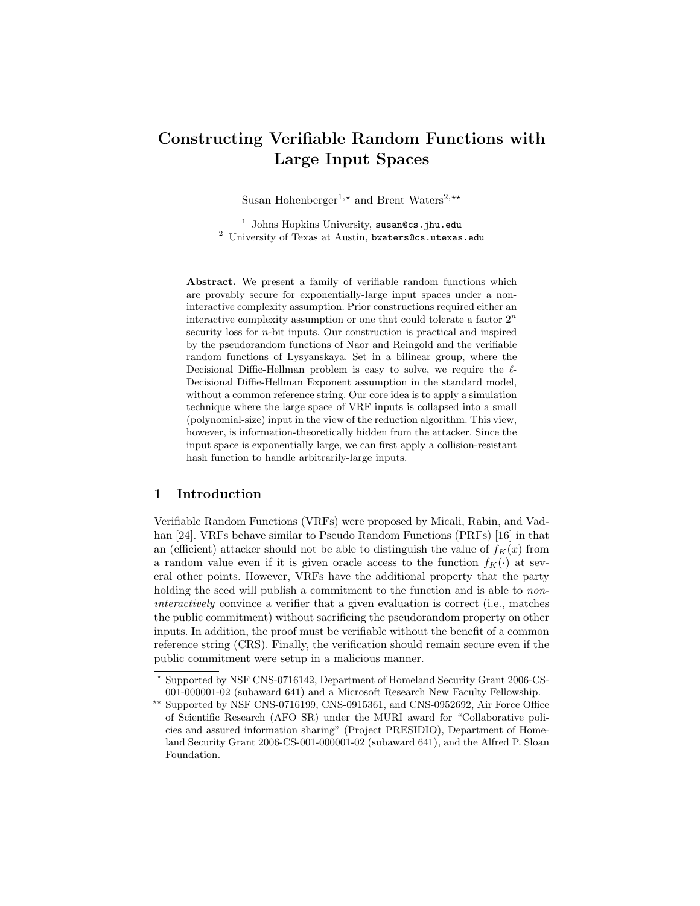# Constructing Verifiable Random Functions with Large Input Spaces

Susan Hohenberger<sup>1,\*</sup> and Brent Waters<sup>2,\*\*</sup>

<sup>1</sup> Johns Hopkins University, susan@cs.jhu.edu <sup>2</sup> University of Texas at Austin, bwaters@cs.utexas.edu

Abstract. We present a family of verifiable random functions which are provably secure for exponentially-large input spaces under a noninteractive complexity assumption. Prior constructions required either an interactive complexity assumption or one that could tolerate a factor  $2<sup>n</sup>$ security loss for n-bit inputs. Our construction is practical and inspired by the pseudorandom functions of Naor and Reingold and the verifiable random functions of Lysyanskaya. Set in a bilinear group, where the Decisional Diffie-Hellman problem is easy to solve, we require the  $\ell$ -Decisional Diffie-Hellman Exponent assumption in the standard model, without a common reference string. Our core idea is to apply a simulation technique where the large space of VRF inputs is collapsed into a small (polynomial-size) input in the view of the reduction algorithm. This view, however, is information-theoretically hidden from the attacker. Since the input space is exponentially large, we can first apply a collision-resistant hash function to handle arbitrarily-large inputs.

# 1 Introduction

Verifiable Random Functions (VRFs) were proposed by Micali, Rabin, and Vadhan [24]. VRFs behave similar to Pseudo Random Functions (PRFs) [16] in that an (efficient) attacker should not be able to distinguish the value of  $f_K(x)$  from a random value even if it is given oracle access to the function  $f_K(\cdot)$  at several other points. However, VRFs have the additional property that the party holding the seed will publish a commitment to the function and is able to *non*interactively convince a verifier that a given evaluation is correct (i.e., matches the public commitment) without sacrificing the pseudorandom property on other inputs. In addition, the proof must be verifiable without the benefit of a common reference string (CRS). Finally, the verification should remain secure even if the public commitment were setup in a malicious manner.

<sup>?</sup> Supported by NSF CNS-0716142, Department of Homeland Security Grant 2006-CS-001-000001-02 (subaward 641) and a Microsoft Research New Faculty Fellowship.

<sup>\*\*</sup> Supported by NSF CNS-0716199, CNS-0915361, and CNS-0952692, Air Force Office of Scientific Research (AFO SR) under the MURI award for "Collaborative policies and assured information sharing" (Project PRESIDIO), Department of Homeland Security Grant 2006-CS-001-000001-02 (subaward 641), and the Alfred P. Sloan Foundation.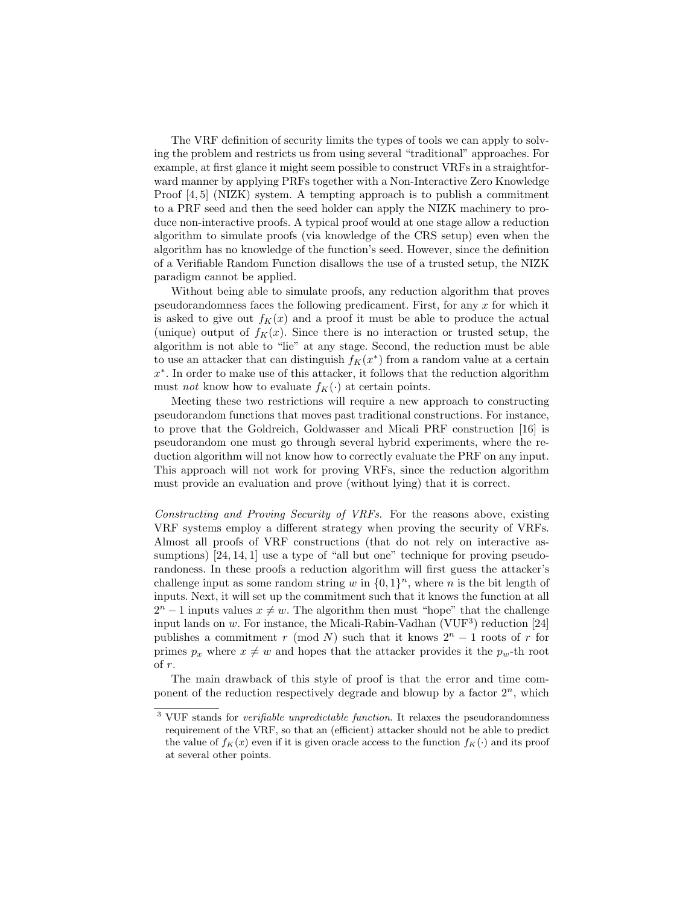The VRF definition of security limits the types of tools we can apply to solving the problem and restricts us from using several "traditional" approaches. For example, at first glance it might seem possible to construct VRFs in a straightforward manner by applying PRFs together with a Non-Interactive Zero Knowledge Proof [4, 5] (NIZK) system. A tempting approach is to publish a commitment to a PRF seed and then the seed holder can apply the NIZK machinery to produce non-interactive proofs. A typical proof would at one stage allow a reduction algorithm to simulate proofs (via knowledge of the CRS setup) even when the algorithm has no knowledge of the function's seed. However, since the definition of a Verifiable Random Function disallows the use of a trusted setup, the NIZK paradigm cannot be applied.

Without being able to simulate proofs, any reduction algorithm that proves pseudorandomness faces the following predicament. First, for any x for which it is asked to give out  $f_K(x)$  and a proof it must be able to produce the actual (unique) output of  $f_K(x)$ . Since there is no interaction or trusted setup, the algorithm is not able to "lie" at any stage. Second, the reduction must be able to use an attacker that can distinguish  $f_K(x^*)$  from a random value at a certain x ∗ . In order to make use of this attacker, it follows that the reduction algorithm must not know how to evaluate  $f_K(\cdot)$  at certain points.

Meeting these two restrictions will require a new approach to constructing pseudorandom functions that moves past traditional constructions. For instance, to prove that the Goldreich, Goldwasser and Micali PRF construction [16] is pseudorandom one must go through several hybrid experiments, where the reduction algorithm will not know how to correctly evaluate the PRF on any input. This approach will not work for proving VRFs, since the reduction algorithm must provide an evaluation and prove (without lying) that it is correct.

Constructing and Proving Security of VRFs. For the reasons above, existing VRF systems employ a different strategy when proving the security of VRFs. Almost all proofs of VRF constructions (that do not rely on interactive assumptions) [24, 14, 1] use a type of "all but one" technique for proving pseudorandoness. In these proofs a reduction algorithm will first guess the attacker's challenge input as some random string w in  $\{0,1\}^n$ , where n is the bit length of inputs. Next, it will set up the commitment such that it knows the function at all  $2^{n} - 1$  inputs values  $x \neq w$ . The algorithm then must "hope" that the challenge input lands on  $w$ . For instance, the Micali-Rabin-Vadhan (VUF<sup>3</sup>) reduction [24] publishes a commitment r (mod N) such that it knows  $2<sup>n</sup> - 1$  roots of r for primes  $p_x$  where  $x \neq w$  and hopes that the attacker provides it the  $p_w$ -th root of r.

The main drawback of this style of proof is that the error and time component of the reduction respectively degrade and blowup by a factor  $2<sup>n</sup>$ , which

<sup>&</sup>lt;sup>3</sup> VUF stands for *verifiable unpredictable function*. It relaxes the pseudorandomness requirement of the VRF, so that an (efficient) attacker should not be able to predict the value of  $f_K(x)$  even if it is given oracle access to the function  $f_K(\cdot)$  and its proof at several other points.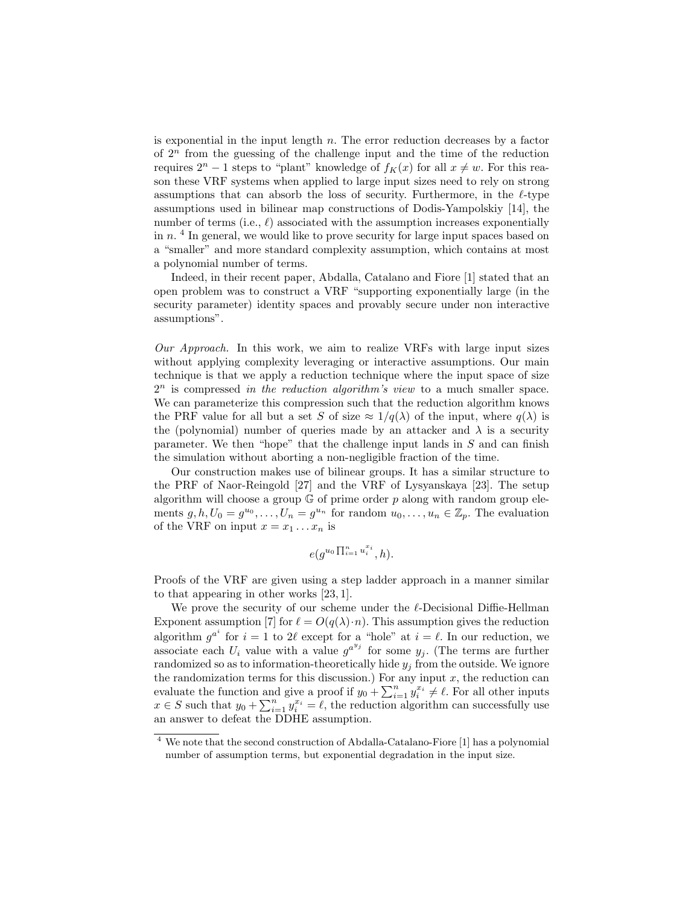is exponential in the input length  $n$ . The error reduction decreases by a factor of  $2<sup>n</sup>$  from the guessing of the challenge input and the time of the reduction requires  $2^{n} - 1$  steps to "plant" knowledge of  $f_{K}(x)$  for all  $x \neq w$ . For this reason these VRF systems when applied to large input sizes need to rely on strong assumptions that can absorb the loss of security. Furthermore, in the  $\ell$ -type assumptions used in bilinear map constructions of Dodis-Yampolskiy [14], the number of terms (i.e.,  $\ell$ ) associated with the assumption increases exponentially in n. 4 In general, we would like to prove security for large input spaces based on a "smaller" and more standard complexity assumption, which contains at most a polynomial number of terms.

Indeed, in their recent paper, Abdalla, Catalano and Fiore [1] stated that an open problem was to construct a VRF "supporting exponentially large (in the security parameter) identity spaces and provably secure under non interactive assumptions".

Our Approach. In this work, we aim to realize VRFs with large input sizes without applying complexity leveraging or interactive assumptions. Our main technique is that we apply a reduction technique where the input space of size  $2<sup>n</sup>$  is compressed in the reduction algorithm's view to a much smaller space. We can parameterize this compression such that the reduction algorithm knows the PRF value for all but a set S of size  $\approx 1/q(\lambda)$  of the input, where  $q(\lambda)$  is the (polynomial) number of queries made by an attacker and  $\lambda$  is a security parameter. We then "hope" that the challenge input lands in S and can finish the simulation without aborting a non-negligible fraction of the time.

Our construction makes use of bilinear groups. It has a similar structure to the PRF of Naor-Reingold [27] and the VRF of Lysyanskaya [23]. The setup algorithm will choose a group  $G$  of prime order  $p$  along with random group elements  $g, h, U_0 = g^{u_0}, \ldots, U_n = g^{u_n}$  for random  $u_0, \ldots, u_n \in \mathbb{Z}_p$ . The evaluation of the VRF on input  $x = x_1 \dots x_n$  is

$$
e(g^{u_0 \prod_{i=1}^n u_i^{x_i}}, h).
$$

Proofs of the VRF are given using a step ladder approach in a manner similar to that appearing in other works [23, 1].

We prove the security of our scheme under the  $\ell$ -Decisional Diffie-Hellman Exponent assumption [7] for  $\ell = O(q(\lambda) \cdot n)$ . This assumption gives the reduction algorithm  $g^{a^i}$  for  $i = 1$  to  $2\ell$  except for a "hole" at  $i = \ell$ . In our reduction, we associate each  $U_i$  value with a value  $g^{a^{y_j}}$  for some  $y_j$ . (The terms are further randomized so as to information-theoretically hide  $y_j$  from the outside. We ignore the randomization terms for this discussion.) For any input  $x$ , the reduction can evaluate the function and give a proof if  $y_0 + \sum_{i=1}^n y_i^{x_i} \neq \ell$ . For all other inputs  $x \in S$  such that  $y_0 + \sum_{i=1}^n y_i^{x_i} = \ell$ , the reduction algorithm can successfully use an answer to defeat the DDHE assumption.

<sup>4</sup> We note that the second construction of Abdalla-Catalano-Fiore [1] has a polynomial number of assumption terms, but exponential degradation in the input size.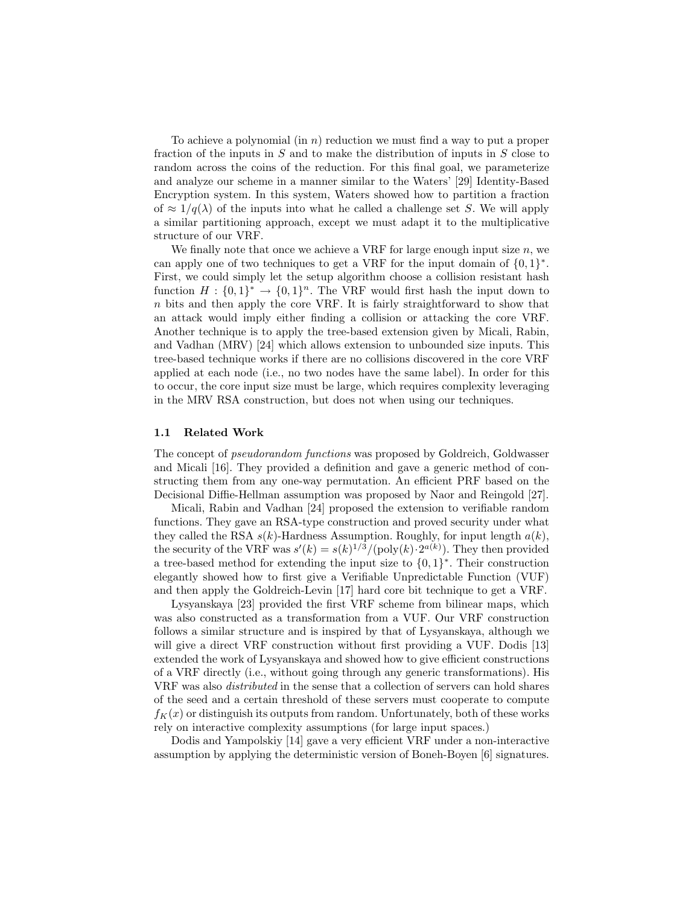To achieve a polynomial (in  $n$ ) reduction we must find a way to put a proper fraction of the inputs in  $S$  and to make the distribution of inputs in  $S$  close to random across the coins of the reduction. For this final goal, we parameterize and analyze our scheme in a manner similar to the Waters' [29] Identity-Based Encryption system. In this system, Waters showed how to partition a fraction of  $\approx 1/q(\lambda)$  of the inputs into what he called a challenge set S. We will apply a similar partitioning approach, except we must adapt it to the multiplicative structure of our VRF.

We finally note that once we achieve a VRF for large enough input size  $n$ , we can apply one of two techniques to get a VRF for the input domain of  $\{0,1\}^*$ . First, we could simply let the setup algorithm choose a collision resistant hash function  $H: \{0,1\}^* \to \{0,1\}^n$ . The VRF would first hash the input down to n bits and then apply the core VRF. It is fairly straightforward to show that an attack would imply either finding a collision or attacking the core VRF. Another technique is to apply the tree-based extension given by Micali, Rabin, and Vadhan (MRV) [24] which allows extension to unbounded size inputs. This tree-based technique works if there are no collisions discovered in the core VRF applied at each node (i.e., no two nodes have the same label). In order for this to occur, the core input size must be large, which requires complexity leveraging in the MRV RSA construction, but does not when using our techniques.

#### 1.1 Related Work

The concept of pseudorandom functions was proposed by Goldreich, Goldwasser and Micali [16]. They provided a definition and gave a generic method of constructing them from any one-way permutation. An efficient PRF based on the Decisional Diffie-Hellman assumption was proposed by Naor and Reingold [27].

Micali, Rabin and Vadhan [24] proposed the extension to verifiable random functions. They gave an RSA-type construction and proved security under what they called the RSA  $s(k)$ -Hardness Assumption. Roughly, for input length  $a(k)$ , the security of the VRF was  $s'(k) = s(k)^{1/3}/(\text{poly}(k) \cdot 2^{a(k)})$ . They then provided a tree-based method for extending the input size to  $\{0,1\}^*$ . Their construction elegantly showed how to first give a Verifiable Unpredictable Function (VUF) and then apply the Goldreich-Levin [17] hard core bit technique to get a VRF.

Lysyanskaya [23] provided the first VRF scheme from bilinear maps, which was also constructed as a transformation from a VUF. Our VRF construction follows a similar structure and is inspired by that of Lysyanskaya, although we will give a direct VRF construction without first providing a VUF. Dodis [13] extended the work of Lysyanskaya and showed how to give efficient constructions of a VRF directly (i.e., without going through any generic transformations). His VRF was also distributed in the sense that a collection of servers can hold shares of the seed and a certain threshold of these servers must cooperate to compute  $f_K(x)$  or distinguish its outputs from random. Unfortunately, both of these works rely on interactive complexity assumptions (for large input spaces.)

Dodis and Yampolskiy [14] gave a very efficient VRF under a non-interactive assumption by applying the deterministic version of Boneh-Boyen [6] signatures.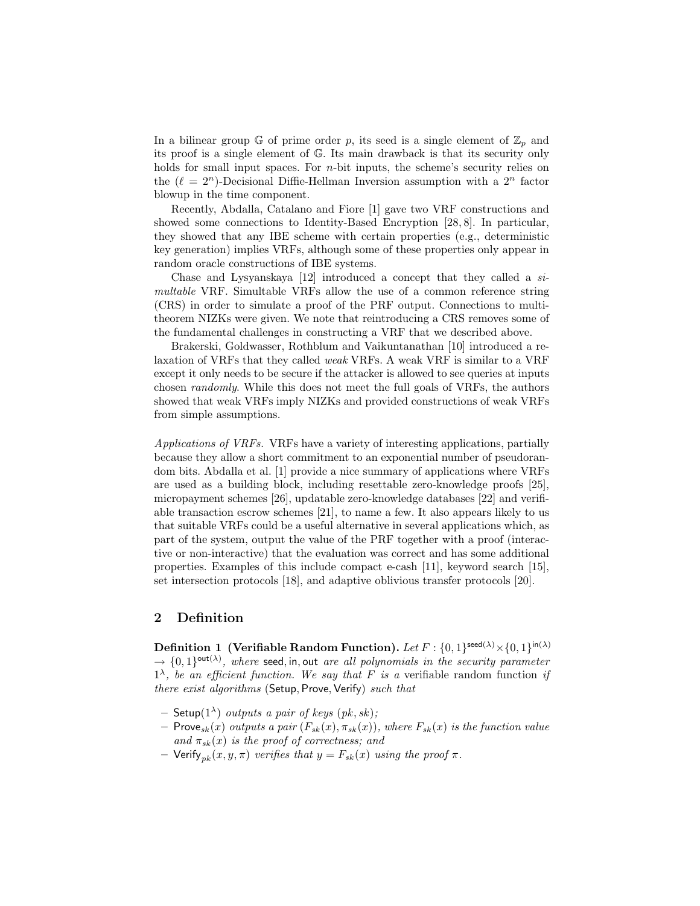In a bilinear group G of prime order p, its seed is a single element of  $\mathbb{Z}_p$  and its proof is a single element of G. Its main drawback is that its security only holds for small input spaces. For  $n$ -bit inputs, the scheme's security relies on the  $(\ell = 2^n)$ -Decisional Diffie-Hellman Inversion assumption with a  $2^n$  factor blowup in the time component.

Recently, Abdalla, Catalano and Fiore [1] gave two VRF constructions and showed some connections to Identity-Based Encryption [28, 8]. In particular, they showed that any IBE scheme with certain properties (e.g., deterministic key generation) implies VRFs, although some of these properties only appear in random oracle constructions of IBE systems.

Chase and Lysyanskaya [12] introduced a concept that they called a simultable VRF. Simultable VRFs allow the use of a common reference string (CRS) in order to simulate a proof of the PRF output. Connections to multitheorem NIZKs were given. We note that reintroducing a CRS removes some of the fundamental challenges in constructing a VRF that we described above.

Brakerski, Goldwasser, Rothblum and Vaikuntanathan [10] introduced a relaxation of VRFs that they called weak VRFs. A weak VRF is similar to a VRF except it only needs to be secure if the attacker is allowed to see queries at inputs chosen randomly. While this does not meet the full goals of VRFs, the authors showed that weak VRFs imply NIZKs and provided constructions of weak VRFs from simple assumptions.

Applications of VRFs. VRFs have a variety of interesting applications, partially because they allow a short commitment to an exponential number of pseudorandom bits. Abdalla et al. [1] provide a nice summary of applications where VRFs are used as a building block, including resettable zero-knowledge proofs [25], micropayment schemes [26], updatable zero-knowledge databases [22] and verifiable transaction escrow schemes [21], to name a few. It also appears likely to us that suitable VRFs could be a useful alternative in several applications which, as part of the system, output the value of the PRF together with a proof (interactive or non-interactive) that the evaluation was correct and has some additional properties. Examples of this include compact e-cash [11], keyword search [15], set intersection protocols [18], and adaptive oblivious transfer protocols [20].

### 2 Definition

Definition 1 (Verifiable Random Function). Let  $F: \{0,1\}^{\mathsf{seed}(\lambda)}\times \{0,1\}^{\mathsf{in}(\lambda)}$  $\rightarrow$  {0,1}<sup>out( $\lambda$ )</sup>, where seed, in, out are all polynomials in the security parameter  $1^{\lambda}$ , be an efficient function. We say that F is a verifiable random function if there exist algorithms (Setup, Prove, Verify) such that

- $-$  Setup(1<sup> $\lambda$ </sup>) outputs a pair of keys (pk, sk);
- Prove<sub>sk</sub> $(x)$  outputs a pair  $(F_{sk}(x), \pi_{sk}(x))$ , where  $F_{sk}(x)$  is the function value and  $\pi_{sk}(x)$  is the proof of correctness; and
- Verify<sub>pk</sub> $(x, y, \pi)$  verifies that  $y = F_{sk}(x)$  using the proof  $\pi$ .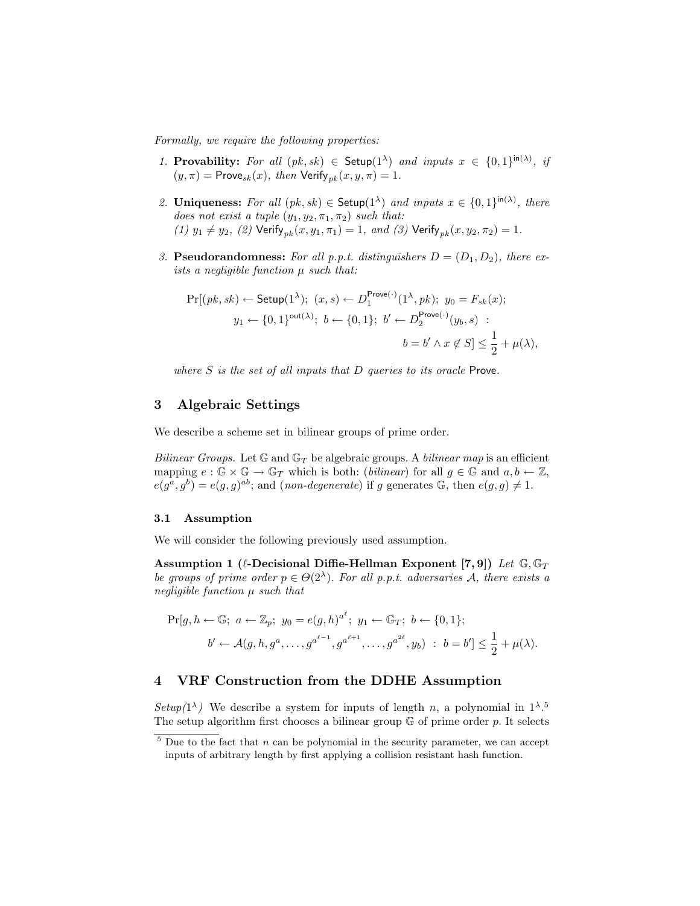Formally, we require the following properties:

- 1. Provability: For all  $(pk, sk) \in Setup(1^{\lambda})$  and inputs  $x \in \{0, 1\}^{in(\lambda)}$ , if  $(y, \pi)$  = Prove<sub>sk</sub> $(x)$ , then Verify<sub>pk</sub> $(x, y, \pi) = 1$ .
- 2. Uniqueness: For all  $(pk, sk) \in \mathsf{Setup}(1^{\lambda})$  and inputs  $x \in \{0, 1\}^{\mathsf{in}(\lambda)}$ , there does not exist a tuple  $(y_1, y_2, \pi_1, \pi_2)$  such that: (1)  $y_1 \neq y_2$ , (2) Verify<sub>pk</sub> $(x, y_1, \pi_1) = 1$ , and (3) Verify<sub>pk</sub> $(x, y_2, \pi_2) = 1$ .
- 3. **Pseudorandomness:** For all p.p.t. distinguishers  $D = (D_1, D_2)$ , there exists a negligible function  $\mu$  such that:

$$
\Pr[(pk, sk) \leftarrow \text{Setup}(1^{\lambda}); (x, s) \leftarrow D_1^{\text{Prove}(\cdot)}(1^{\lambda}, pk); y_0 = F_{sk}(x);
$$
  

$$
y_1 \leftarrow \{0, 1\}^{\text{out}(\lambda)}; b \leftarrow \{0, 1\}; b' \leftarrow D_2^{\text{Prove}(\cdot)}(y_b, s):
$$
  

$$
b = b' \land x \notin S] \le \frac{1}{2} + \mu(\lambda),
$$

where  $S$  is the set of all inputs that  $D$  queries to its oracle Prove.

#### 3 Algebraic Settings

We describe a scheme set in bilinear groups of prime order.

Bilinear Groups. Let  $\mathbb G$  and  $\mathbb G_T$  be algebraic groups. A *bilinear map* is an efficient mapping  $e : \mathbb{G} \times \mathbb{G} \to \mathbb{G}_T$  which is both: (*bilinear*) for all  $g \in \mathbb{G}$  and  $a, b \leftarrow \mathbb{Z}$ ,  $e(g^a, g^b) = e(g, g)^{ab}$ ; and (non-degenerate) if g generates G, then  $e(g, g) \neq 1$ .

#### 3.1 Assumption

We will consider the following previously used assumption.

Assumption 1 ( $\ell$ -Decisional Diffie-Hellman Exponent [7,9]) Let  $\mathbb{G}, \mathbb{G}_T$ be groups of prime order  $p \in \Theta(2^{\lambda})$ . For all p.p.t. adversaries A, there exists a negligible function  $\mu$  such that

$$
\Pr[g, h \leftarrow \mathbb{G}; \ a \leftarrow \mathbb{Z}_p; \ y_0 = e(g, h)^{a^{\ell}}; \ y_1 \leftarrow \mathbb{G}_T; \ b \leftarrow \{0, 1\}; b' \leftarrow \mathcal{A}(g, h, g^a, \dots, g^{a^{\ell-1}}, g^{a^{\ell+1}}, \dots, g^{a^{2\ell}}, y_b) \ : \ b = b' \le \frac{1}{2} + \mu(\lambda).
$$

# 4 VRF Construction from the DDHE Assumption

Setup(1<sup> $\lambda$ </sup>) We describe a system for inputs of length n, a polynomial in 1<sup> $\lambda$ </sup>.<sup>5</sup> The setup algorithm first chooses a bilinear group  $\mathbb G$  of prime order p. It selects

 $5$  Due to the fact that n can be polynomial in the security parameter, we can accept inputs of arbitrary length by first applying a collision resistant hash function.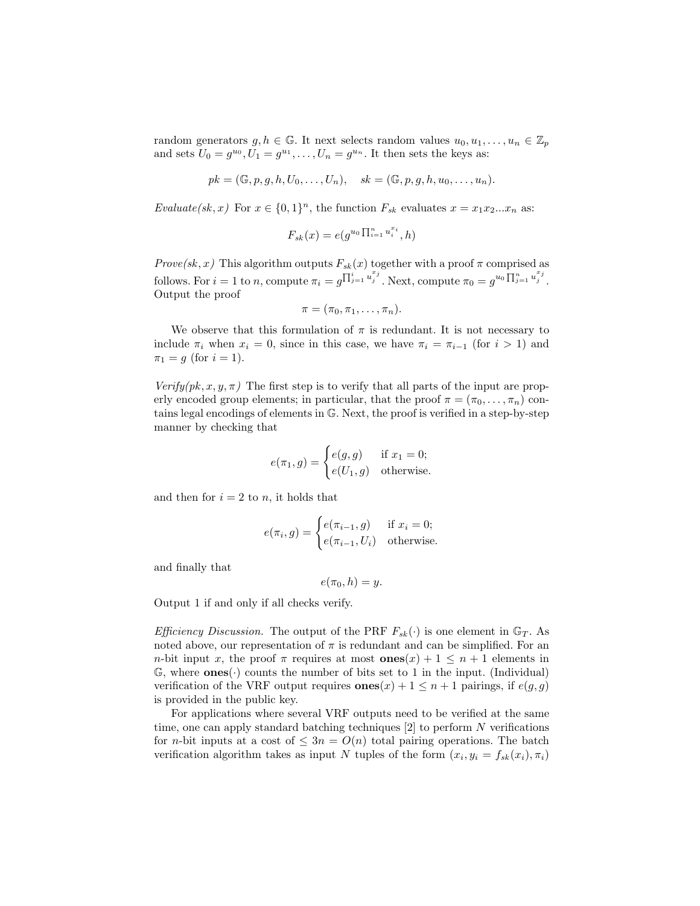random generators  $g, h \in \mathbb{G}$ . It next selects random values  $u_0, u_1, \ldots, u_n \in \mathbb{Z}_p$ and sets  $U_0 = g^{u_0}, U_1 = g^{u_1}, \dots, U_n = g^{u_n}$ . It then sets the keys as:

$$
pk = (\mathbb{G}, p, g, h, U_0, \dots, U_n), \quad sk = (\mathbb{G}, p, g, h, u_0, \dots, u_n).
$$

Evaluate(sk, x) For  $x \in \{0,1\}^n$ , the function  $F_{sk}$  evaluates  $x = x_1 x_2 ... x_n$  as:

$$
F_{sk}(x) = e(g^{u_0 \prod_{i=1}^n u_i^{x_i}}, h)
$$

Prove(sk, x) This algorithm outputs  $F_{sk}(x)$  together with a proof  $\pi$  comprised as follows. For  $i = 1$  to n, compute  $\pi_i = g^{\prod_{j=1}^i \frac{x_j}{u_j}}$ . Next, compute  $\pi_0 = g^{u_0 \prod_{j=1}^n \frac{x_j}{u_j}}$ . Output the proof

$$
\pi=(\pi_0,\pi_1,\ldots,\pi_n).
$$

We observe that this formulation of  $\pi$  is redundant. It is not necessary to include  $\pi_i$  when  $x_i = 0$ , since in this case, we have  $\pi_i = \pi_{i-1}$  (for  $i > 1$ ) and  $\pi_1 = g \text{ (for } i = 1).$ 

 $Verify(pk, x, y, \pi)$  The first step is to verify that all parts of the input are properly encoded group elements; in particular, that the proof  $\pi = (\pi_0, \ldots, \pi_n)$  contains legal encodings of elements in G. Next, the proof is verified in a step-by-step manner by checking that

$$
e(\pi_1, g) = \begin{cases} e(g, g) & \text{if } x_1 = 0; \\ e(U_1, g) & \text{otherwise.} \end{cases}
$$

and then for  $i = 2$  to n, it holds that

$$
e(\pi_i, g) = \begin{cases} e(\pi_{i-1}, g) & \text{if } x_i = 0; \\ e(\pi_{i-1}, U_i) & \text{otherwise.} \end{cases}
$$

and finally that

$$
e(\pi_0, h) = y.
$$

Output 1 if and only if all checks verify.

*Efficiency Discussion.* The output of the PRF  $F_{sk}(\cdot)$  is one element in  $\mathbb{G}_T$ . As noted above, our representation of  $\pi$  is redundant and can be simplified. For an n-bit input x, the proof  $\pi$  requires at most **ones** $(x) + 1 \leq n + 1$  elements in  $\mathbb{G}$ , where **ones**( $\cdot$ ) counts the number of bits set to 1 in the input. (Individual) verification of the VRF output requires  $\text{ones}(x) + 1 \leq n + 1$  pairings, if  $e(g, g)$ is provided in the public key.

For applications where several VRF outputs need to be verified at the same time, one can apply standard batching techniques  $[2]$  to perform N verifications for *n*-bit inputs at a cost of  $\leq 3n = O(n)$  total pairing operations. The batch verification algorithm takes as input N tuples of the form  $(x_i, y_i = f_{sk}(x_i), \pi_i)$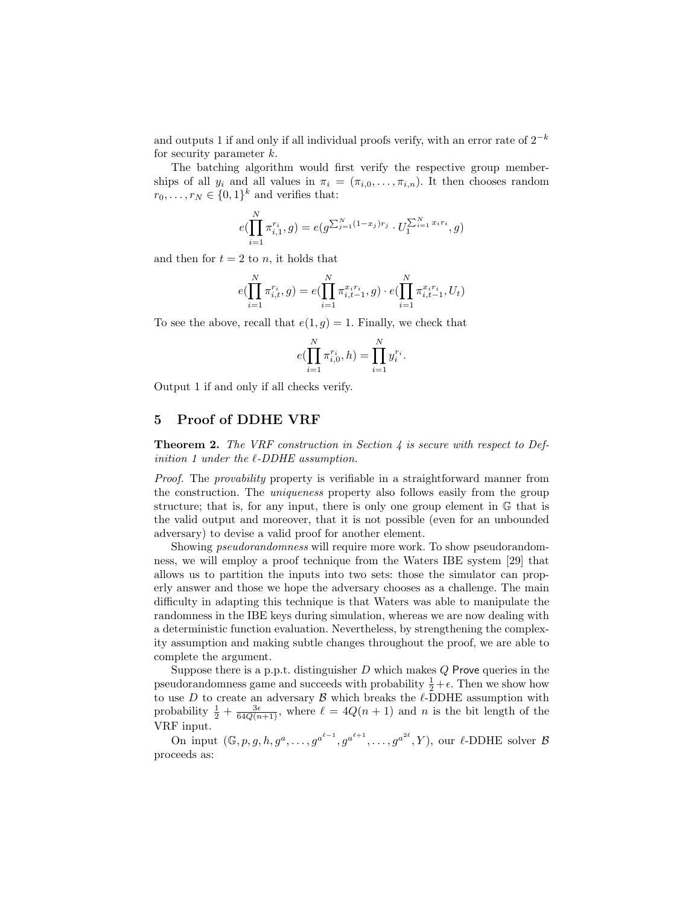and outputs 1 if and only if all individual proofs verify, with an error rate of  $2^{-k}$ for security parameter  $k$ .

The batching algorithm would first verify the respective group memberships of all  $y_i$  and all values in  $\pi_i = (\pi_{i,0}, \ldots, \pi_{i,n})$ . It then chooses random  $r_0, \ldots, r_N \in \{0,1\}^k$  and verifies that:

$$
e(\prod_{i=1}^{N} \pi_{i,1}^{r_i}, g) = e(g^{\sum_{j=1}^{N} (1-x_j)r_j} \cdot U_1^{\sum_{i=1}^{N} x_i r_i}, g)
$$

and then for  $t = 2$  to n, it holds that

$$
e(\prod_{i=1}^{N}\pi_{i,t}^{r_i},g) = e(\prod_{i=1}^{N}\pi_{i,t-1}^{x_ir_i},g) \cdot e(\prod_{i=1}^{N}\pi_{i,t-1}^{x_ir_i},U_t)
$$

To see the above, recall that  $e(1, g) = 1$ . Finally, we check that

$$
e(\prod_{i=1}^N \pi_{i,0}^{r_i}, h) = \prod_{i=1}^N y_i^{r_i}.
$$

Output 1 if and only if all checks verify.

#### 5 Proof of DDHE VRF

**Theorem 2.** The VRF construction in Section  $\frac{1}{4}$  is secure with respect to Definition 1 under the  $\ell$ -DDHE assumption.

Proof. The provability property is verifiable in a straightforward manner from the construction. The uniqueness property also follows easily from the group structure; that is, for any input, there is only one group element in  $\mathbb{G}$  that is the valid output and moreover, that it is not possible (even for an unbounded adversary) to devise a valid proof for another element.

Showing pseudorandomness will require more work. To show pseudorandomness, we will employ a proof technique from the Waters IBE system [29] that allows us to partition the inputs into two sets: those the simulator can properly answer and those we hope the adversary chooses as a challenge. The main difficulty in adapting this technique is that Waters was able to manipulate the randomness in the IBE keys during simulation, whereas we are now dealing with a deterministic function evaluation. Nevertheless, by strengthening the complexity assumption and making subtle changes throughout the proof, we are able to complete the argument.

Suppose there is a p.p.t. distinguisher  $D$  which makes  $Q$  Prove queries in the pseudorandomness game and succeeds with probability  $\frac{1}{2} + \epsilon$ . Then we show how to use D to create an adversary B which breaks the  $\ell$ -DDHE assumption with probability  $\frac{1}{2} + \frac{3\epsilon}{64Q(n+1)}$ , where  $\ell = 4Q(n+1)$  and n is the bit length of the VRF input.

On input  $(\mathbb{G}, p, g, h, g^a, \ldots, g^{a^{\ell-1}}, g^{a^{\ell+1}}, \ldots, g^{a^{2\ell}}, Y)$ , our  $\ell$ -DDHE solver  $\mathcal{B}$ proceeds as: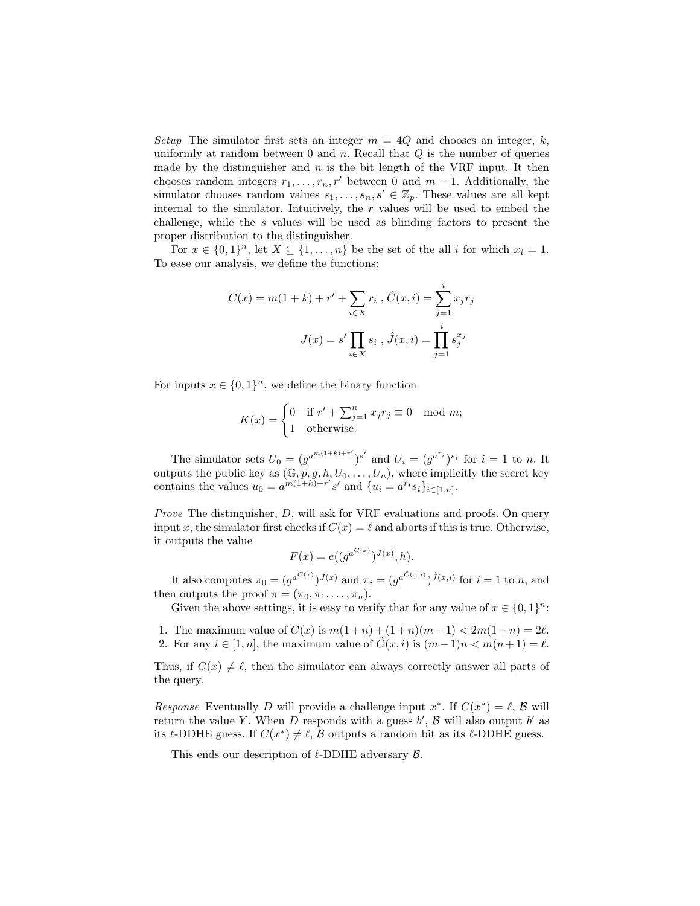Setup The simulator first sets an integer  $m = 4Q$  and chooses an integer, k, uniformly at random between  $0$  and  $n$ . Recall that  $Q$  is the number of queries made by the distinguisher and  $n$  is the bit length of the VRF input. It then chooses random integers  $r_1, \ldots, r_n, r'$  between 0 and  $m - 1$ . Additionally, the simulator chooses random values  $s_1, \ldots, s_n, s' \in \mathbb{Z}_p$ . These values are all kept internal to the simulator. Intuitively, the  $r$  values will be used to embed the challenge, while the s values will be used as blinding factors to present the proper distribution to the distinguisher.

For  $x \in \{0,1\}^n$ , let  $X \subseteq \{1,\ldots,n\}$  be the set of the all i for which  $x_i = 1$ . To ease our analysis, we define the functions:

$$
C(x) = m(1 + k) + r' + \sum_{i \in X} r_i , \hat{C}(x, i) = \sum_{j=1}^{i} x_j r_j
$$

$$
J(x) = s' \prod_{i \in X} s_i , \hat{J}(x, i) = \prod_{j=1}^{i} s_j^{x_j}
$$

For inputs  $x \in \{0,1\}^n$ , we define the binary function

$$
K(x) = \begin{cases} 0 & \text{if } r' + \sum_{j=1}^{n} x_j r_j \equiv 0 \mod m; \\ 1 & \text{otherwise.} \end{cases}
$$

The simulator sets  $U_0 = (g^{a^{m(1+k)+r'}})^{s'}$  and  $U_i = (g^{a^{r_i}})^{s_i}$  for  $i = 1$  to n. It outputs the public key as  $(\mathbb{G}, p, g, h, U_0, \ldots, U_n)$ , where implicitly the secret key contains the values  $u_0 = a^{m(1+k)+r'}s'$  and  $\{u_i = a^{r_i}s_i\}_{i \in [1,n]}$ .

Prove The distinguisher, D, will ask for VRF evaluations and proofs. On query input x, the simulator first checks if  $C(x) = \ell$  and aborts if this is true. Otherwise, it outputs the value

$$
F(x) = e((g^{a^{C(x)}})^{J(x)}, h).
$$

It also computes  $\pi_0 = (g^{a^{C(x)}})^{J(x)}$  and  $\pi_i = (g^{a^{\hat{C}(x,i)}})^{\hat{J}(x,i)}$  for  $i = 1$  to n, and then outputs the proof  $\pi = (\pi_0, \pi_1, \ldots, \pi_n)$ .

Given the above settings, it is easy to verify that for any value of  $x \in \{0,1\}^n$ :

- 1. The maximum value of  $C(x)$  is  $m(1+n) + (1+n)(m-1) < 2m(1+n) = 2\ell$ .
- 2. For any  $i \in [1, n]$ , the maximum value of  $C(x, i)$  is  $(m 1)n < m(n + 1) = \ell$ .

Thus, if  $C(x) \neq \ell$ , then the simulator can always correctly answer all parts of the query.

Response Eventually D will provide a challenge input  $x^*$ . If  $C(x^*) = \ell$ , B will return the value Y. When D responds with a guess  $b'$ ,  $\beta$  will also output  $b'$  as its  $\ell$ -DDHE guess. If  $C(x^*) \neq \ell$ ,  $\beta$  outputs a random bit as its  $\ell$ -DDHE guess.

This ends our description of  $\ell$ -DDHE adversary  $\beta$ .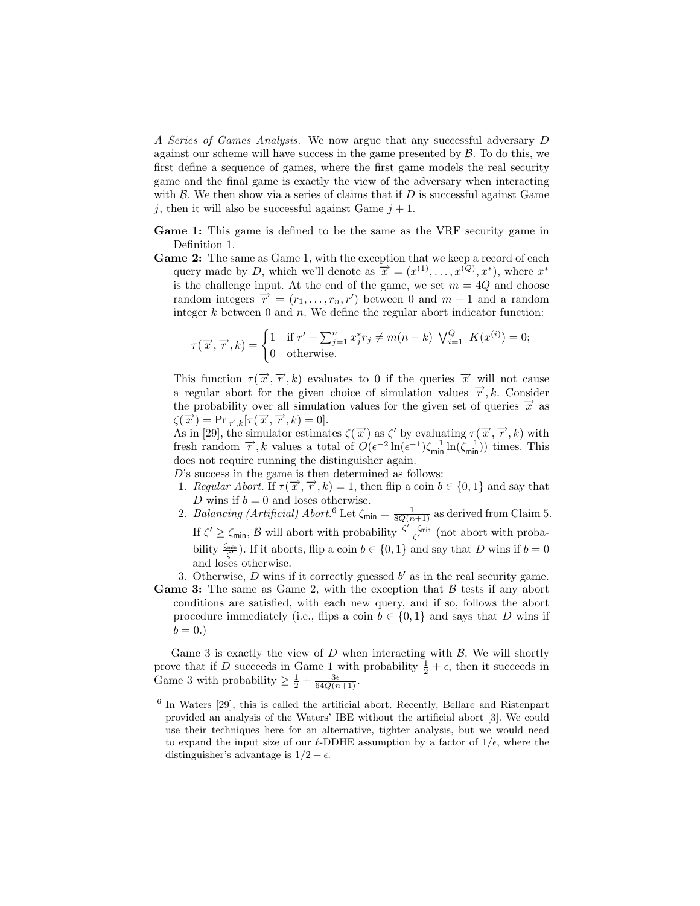A Series of Games Analysis. We now argue that any successful adversary D against our scheme will have success in the game presented by  $\beta$ . To do this, we first define a sequence of games, where the first game models the real security game and the final game is exactly the view of the adversary when interacting with  $\beta$ . We then show via a series of claims that if  $D$  is successful against Game j, then it will also be successful against Game  $j + 1$ .

- Game 1: This game is defined to be the same as the VRF security game in Definition 1.
- Game 2: The same as Game 1, with the exception that we keep a record of each query made by D, which we'll denote as  $\vec{x} = (x^{(1)}, \ldots, x^{(Q)}, x^*)$ , where  $x^*$ is the challenge input. At the end of the game, we set  $m = 4Q$  and choose random integers  $\vec{r} = (r_1, \ldots, r_n, r')$  between 0 and  $m - 1$  and a random integer  $k$  between 0 and  $n$ . We define the regular abort indicator function:

$$
\tau(\overrightarrow{x}, \overrightarrow{r}, k) = \begin{cases} 1 & \text{if } r' + \sum_{j=1}^{n} x_j^* r_j \neq m(n-k) \ \sqrt{Q} & \text{if } K(x^{(i)}) = 0; \\ 0 & \text{otherwise.} \end{cases}
$$

This function  $\tau(\vec{x}, \vec{r}, k)$  evaluates to 0 if the queries  $\vec{x}$  will not cause a regular abort for the given choice of simulation values  $\vec{r}$ , k. Consider the probability over all simulation values for the given set of queries  $\vec{x}$  as  $\zeta(\vec{x}) = \Pr_{\vec{r},k}[\tau(\vec{x}, \vec{r}, k) = 0].$ 

As in [29], the simulator estimates  $\zeta(\vec{x})$  as  $\zeta'$  by evaluating  $\tau(\vec{x}, \vec{r}, k)$  with fresh random  $\vec{r}$ , k values a total of  $O(\epsilon^{-2} \ln(\epsilon^{-1}) \zeta_{\min}^{-1} \ln(\zeta_{\min}^{-1}))$  times. This does not require running the distinguisher again.

D's success in the game is then determined as follows:

- 1. Regular Abort. If  $\tau(\vec{x}, \vec{r}, k) = 1$ , then flip a coin  $b \in \{0, 1\}$  and say that D wins if  $b = 0$  and loses otherwise.
- 2. Balancing (Artificial) Abort.<sup>6</sup> Let  $\zeta_{\min} = \frac{1}{8Q(n+1)}$  as derived from Claim 5. If  $\zeta' \geq \zeta_{\min}$ , B will abort with probability  $\frac{\zeta' - \zeta_{\min}}{\zeta'}$  (not abort with probability  $\frac{\zeta_{\min}}{\zeta'}$ ). If it aborts, flip a coin  $b \in \{0, 1\}$  and say that D wins if  $b = 0$ and loses otherwise.
- 3. Otherwise,  $D$  wins if it correctly guessed  $b'$  as in the real security game.
- **Game 3:** The same as Game 2, with the exception that  $\beta$  tests if any abort conditions are satisfied, with each new query, and if so, follows the abort procedure immediately (i.e., flips a coin  $b \in \{0,1\}$  and says that D wins if  $b = 0.$

Game 3 is exactly the view of  $D$  when interacting with  $B$ . We will shortly prove that if D succeeds in Game 1 with probability  $\frac{1}{2} + \epsilon$ , then it succeeds in Game 3 with probability  $\geq \frac{1}{2} + \frac{3\epsilon}{64Q(n+1)}$ .

<sup>&</sup>lt;sup>6</sup> In Waters [29], this is called the artificial abort. Recently, Bellare and Ristenpart provided an analysis of the Waters' IBE without the artificial abort [3]. We could use their techniques here for an alternative, tighter analysis, but we would need to expand the input size of our  $\ell$ -DDHE assumption by a factor of  $1/\epsilon$ , where the distinguisher's advantage is  $1/2 + \epsilon$ .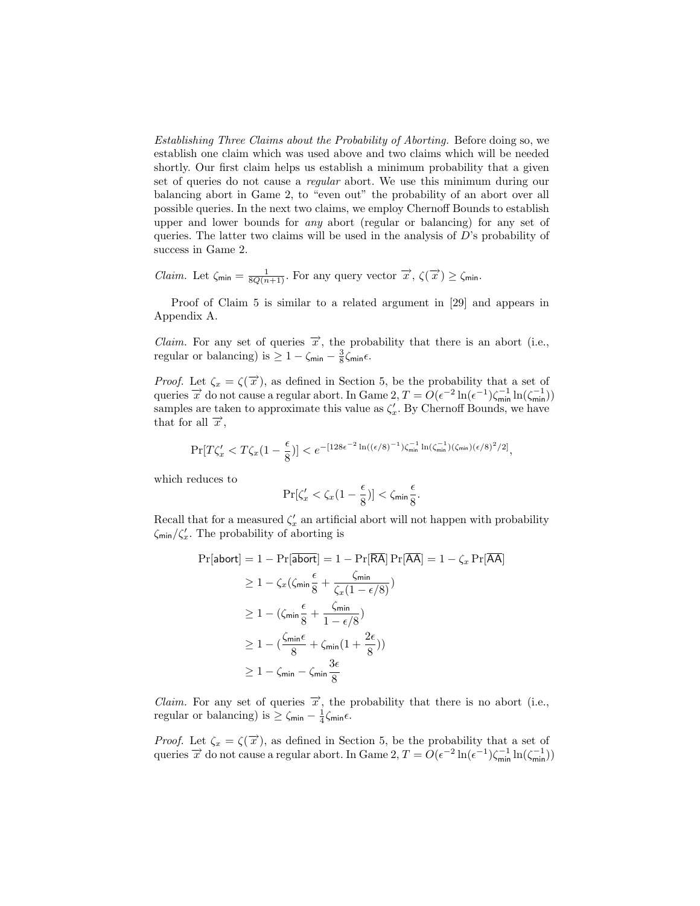Establishing Three Claims about the Probability of Aborting. Before doing so, we establish one claim which was used above and two claims which will be needed shortly. Our first claim helps us establish a minimum probability that a given set of queries do not cause a regular abort. We use this minimum during our balancing abort in Game 2, to "even out" the probability of an abort over all possible queries. In the next two claims, we employ Chernoff Bounds to establish upper and lower bounds for *any* abort (regular or balancing) for any set of queries. The latter two claims will be used in the analysis of  $D$ 's probability of success in Game 2.

*Claim.* Let 
$$
\zeta_{\min} = \frac{1}{8Q(n+1)}
$$
. For any query vector  $\overrightarrow{x}$ ,  $\zeta(\overrightarrow{x}) \ge \zeta_{\min}$ .

Proof of Claim 5 is similar to a related argument in [29] and appears in Appendix A.

*Claim.* For any set of queries  $\vec{x}$ , the probability that there is an abort (i.e., regular or balancing) is  $\geq 1 - \zeta_{\min} - \frac{3}{8}\zeta_{\min}\epsilon$ .

*Proof.* Let  $\zeta_x = \zeta(\vec{x})$ , as defined in Section 5, be the probability that a set of queries  $\vec{x}$  do not cause a regular abort. In Game 2,  $T = O(\epsilon^{-2} \ln(\epsilon^{-1}) \zeta_{\min}^{-1} \ln(\zeta_{\min}^{-1}))$ samples are taken to approximate this value as  $\zeta_x'$ . By Chernoff Bounds, we have that for all  $\vec{x}$ ,

$$
\Pr[T\zeta_x' < T\zeta_x(1-\frac{\epsilon}{8})] < e^{-[128\epsilon^{-2}\ln((\epsilon/8)^{-1})\zeta_{\min}^{-1}\ln(\zeta_{\min}^{-1})(\zeta_{\min})(\epsilon/8)^2/2]},
$$

which reduces to

$$
\Pr[\zeta_x'<\zeta_x(1-\frac{\epsilon}{8})]<\zeta_{\min}\frac{\epsilon}{8}.
$$

Recall that for a measured  $\zeta_x'$  an artificial abort will not happen with probability  $\zeta_{\min}/\zeta_x'$ . The probability of aborting is

$$
\Pr[\text{abort}] = 1 - \Pr[\text{abort}] = 1 - \Pr[\text{RA}] \Pr[\text{AA}] = 1 - \zeta_x \Pr[\text{AA}]
$$
\n
$$
\geq 1 - \zeta_x (\zeta_{\text{min}} \frac{\epsilon}{8} + \frac{\zeta_{\text{min}}}{\zeta_x (1 - \epsilon/8)})
$$
\n
$$
\geq 1 - (\zeta_{\text{min}} \frac{\epsilon}{8} + \frac{\zeta_{\text{min}}}{1 - \epsilon/8})
$$
\n
$$
\geq 1 - (\frac{\zeta_{\text{min}} \epsilon}{8} + \zeta_{\text{min}} (1 + \frac{2\epsilon}{8}))
$$
\n
$$
\geq 1 - \zeta_{\text{min}} - \zeta_{\text{min}} \frac{3\epsilon}{8}
$$

*Claim.* For any set of queries  $\vec{x}$ , the probability that there is no abort (i.e., regular or balancing) is  $\geq \zeta_{\min} - \frac{1}{4} \zeta_{\min} \epsilon$ .

*Proof.* Let  $\zeta_x = \zeta(\vec{x})$ , as defined in Section 5, be the probability that a set of queries  $\vec{x}$  do not cause a regular abort. In Game 2,  $T = O(\epsilon^{-2} \ln(\epsilon^{-1}) \zeta_{\min}^{-1} \ln(\zeta_{\min}^{-1}))$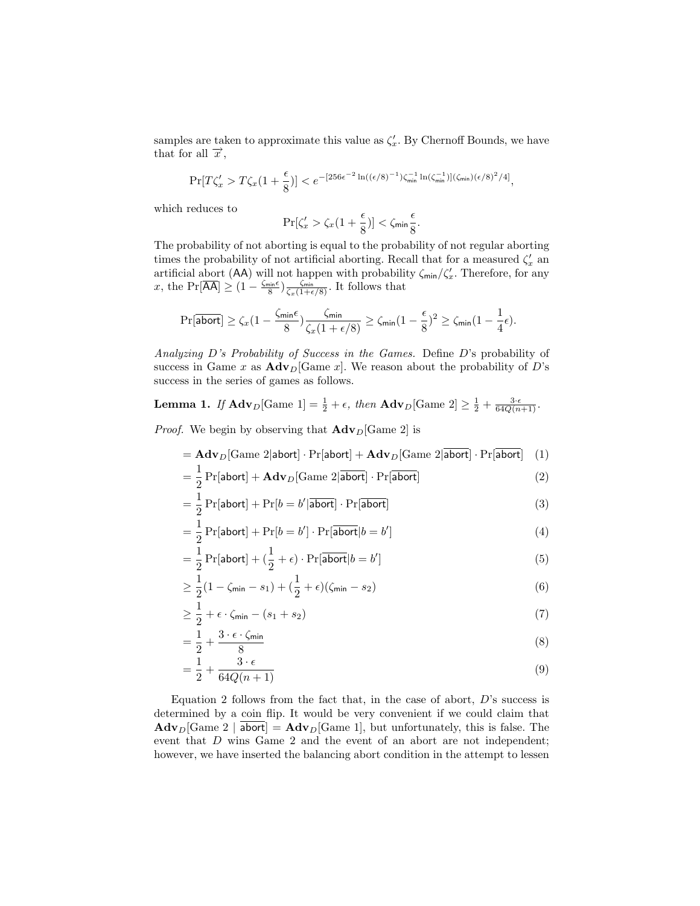samples are taken to approximate this value as  $\zeta_x'$ . By Chernoff Bounds, we have that for all  $\vec{x}$ ,

$$
\Pr[T\zeta_x'>T\zeta_x(1+\frac{\epsilon}{8})]
$$

which reduces to

$$
\Pr[\zeta_x' > \zeta_x(1+\frac{\epsilon}{8})] < \zeta_{\min}\frac{\epsilon}{8}.
$$

The probability of not aborting is equal to the probability of not regular aborting times the probability of not artificial aborting. Recall that for a measured  $\zeta_x'$  an artificial abort (AA) will not happen with probability  $\zeta_{\min}/\zeta_x'$ . Therefore, for any x, the Pr[ $\overline{AA}$ ]  $\geq (1 - \frac{\zeta_{\min}\epsilon}{8}) \frac{\zeta_{\min}}{\zeta_x(1 + \epsilon/8)}$ . It follows that

$$
\Pr[\overline{\mathsf{abort}}] \geq \zeta_x(1-\frac{\zeta_{\mathsf{min}}\epsilon}{8})\frac{\zeta_{\mathsf{min}}}{\zeta_x(1+\epsilon/8)} \geq \zeta_{\mathsf{min}}(1-\frac{\epsilon}{8})^2 \geq \zeta_{\mathsf{min}}(1-\frac{1}{4}\epsilon).
$$

Analyzing D's Probability of Success in the Games. Define D's probability of success in Game x as  $\text{Adv}_D[\text{Game }x]$ . We reason about the probability of D's success in the series of games as follows.

**Lemma 1.** If  $\mathbf{Adv}_D[\text{Game 1}] = \frac{1}{2} + \epsilon$ , then  $\mathbf{Adv}_D[\text{Game 2}] \ge \frac{1}{2} + \frac{3 \cdot \epsilon}{64Q(n+1)}$ .

*Proof.* We begin by observing that  $\mathbf{Adv}_{D}[\text{Game 2}]$  is

$$
= \mathbf{Adv}_D[\text{Game 2|abort}] \cdot \Pr[\text{abort}] + \mathbf{Adv}_D[\text{Game 2|abort}] \cdot \Pr[\text{abort}] \quad (1)
$$

$$
= \frac{1}{2} \Pr[\text{abort}] + \text{Adv}_D[\text{Game 2}|\overline{\text{abort}}] \cdot \Pr[\overline{\text{abort}}]
$$
 (2)

$$
= \frac{1}{2} \Pr[\text{abort}] + \Pr[b = b' | \overline{\text{abort}}] \cdot \Pr[\overline{\text{abort}}]
$$
 (3)

$$
= \frac{1}{2} \Pr[\text{abort}] + \Pr[b = b'] \cdot \Pr[\overline{\text{abort}}|b = b'] \tag{4}
$$

$$
= \frac{1}{2} \Pr[\text{abort}] + (\frac{1}{2} + \epsilon) \cdot \Pr[\text{abort}]b = b'] \tag{5}
$$

$$
\geq \frac{1}{2}(1 - \zeta_{\min} - s_1) + (\frac{1}{2} + \epsilon)(\zeta_{\min} - s_2)
$$
\n(6)

$$
\geq \frac{1}{2} + \epsilon \cdot \zeta_{\min} - (s_1 + s_2) \tag{7}
$$

$$
=\frac{1}{2} + \frac{3 \cdot \epsilon \cdot \zeta_{\min}}{8} \tag{8}
$$

$$
=\frac{1}{2} + \frac{3 \cdot \epsilon}{64Q(n+1)}
$$
\n(9)

Equation 2 follows from the fact that, in the case of abort,  $D$ 's success is determined by a coin flip. It would be very convenient if we could claim that  $\mathbf{Adv}_{D}[\text{Game 2 } | \text{ abort}] = \mathbf{Adv}_{D}[\text{Game 1}],$  but unfortunately, this is false. The event that D wins Game 2 and the event of an abort are not independent; however, we have inserted the balancing abort condition in the attempt to lessen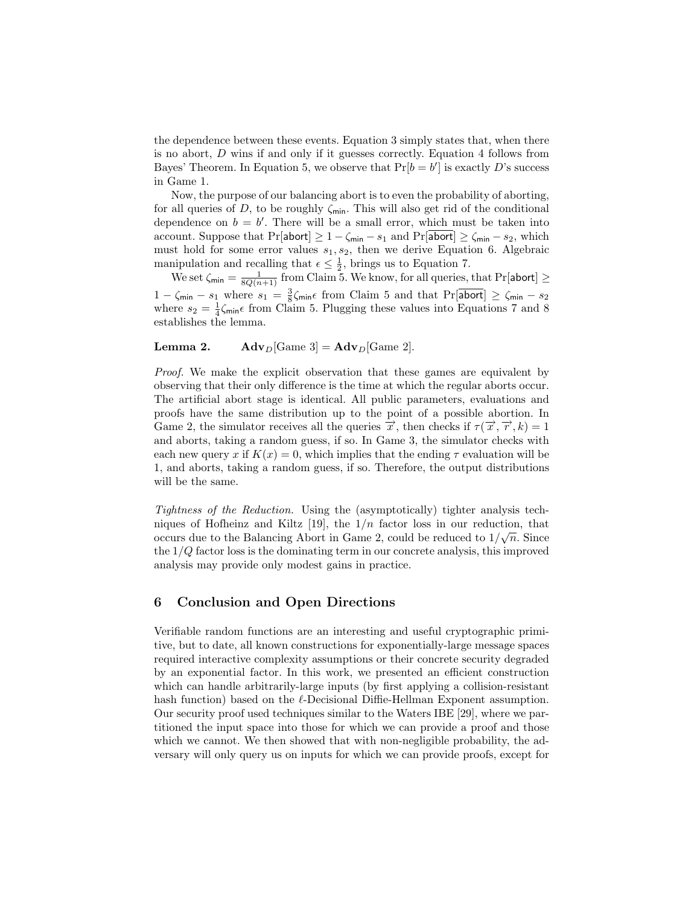the dependence between these events. Equation 3 simply states that, when there is no abort, D wins if and only if it guesses correctly. Equation 4 follows from Bayes' Theorem. In Equation 5, we observe that  $Pr[b = b']$  is exactly D's success in Game 1.

Now, the purpose of our balancing abort is to even the probability of aborting, for all queries of D, to be roughly  $\zeta_{\min}$ . This will also get rid of the conditional dependence on  $b = b'$ . There will be a small error, which must be taken into account. Suppose that  $Pr[abort] \ge 1 - \zeta_{min} - s_1$  and  $Pr[abort] \ge \zeta_{min} - s_2$ , which must hold for some error values  $s_1, s_2$ , then we derive Equation 6. Algebraic manipulation and recalling that  $\epsilon \leq \frac{1}{2}$ , brings us to Equation 7.

We set  $\zeta_{\min} = \frac{1}{8Q(n+1)}$  from Claim 5. We know, for all queries, that Pr[abort]  $\geq$  $1 - \zeta_{\min} - s_1$  where  $s_1 = \frac{3}{8}\zeta_{\min} \epsilon$  from Claim 5 and that  $\Pr[\overline{\mathsf{abort}}] \geq \zeta_{\min} - s_2$ where  $s_2 = \frac{1}{4}\zeta_{\text{min}}\epsilon$  from Claim 5. Plugging these values into Equations 7 and 8 establishes the lemma.

**Lemma 2.** Adv<sub>D</sub>[Game 3] =  $\mathbf{Adv}_D$ [Game 2].

Proof. We make the explicit observation that these games are equivalent by observing that their only difference is the time at which the regular aborts occur. The artificial abort stage is identical. All public parameters, evaluations and proofs have the same distribution up to the point of a possible abortion. In Game 2, the simulator receives all the queries  $\overrightarrow{x}$ , then checks if  $\tau(\overrightarrow{x}, \overrightarrow{r}, k) = 1$ and aborts, taking a random guess, if so. In Game 3, the simulator checks with each new query x if  $K(x) = 0$ , which implies that the ending  $\tau$  evaluation will be 1, and aborts, taking a random guess, if so. Therefore, the output distributions will be the same.

Tightness of the Reduction. Using the (asymptotically) tighter analysis techniques of Hofheinz and Kiltz [19], the  $1/n$  factor loss in our reduction, that occurs due to the Balancing Abort in Game 2, could be reduced to  $1/\sqrt{n}$ . Since the 1/Q factor loss is the dominating term in our concrete analysis, this improved analysis may provide only modest gains in practice.

# 6 Conclusion and Open Directions

Verifiable random functions are an interesting and useful cryptographic primitive, but to date, all known constructions for exponentially-large message spaces required interactive complexity assumptions or their concrete security degraded by an exponential factor. In this work, we presented an efficient construction which can handle arbitrarily-large inputs (by first applying a collision-resistant hash function) based on the  $\ell$ -Decisional Diffie-Hellman Exponent assumption. Our security proof used techniques similar to the Waters IBE [29], where we partitioned the input space into those for which we can provide a proof and those which we cannot. We then showed that with non-negligible probability, the adversary will only query us on inputs for which we can provide proofs, except for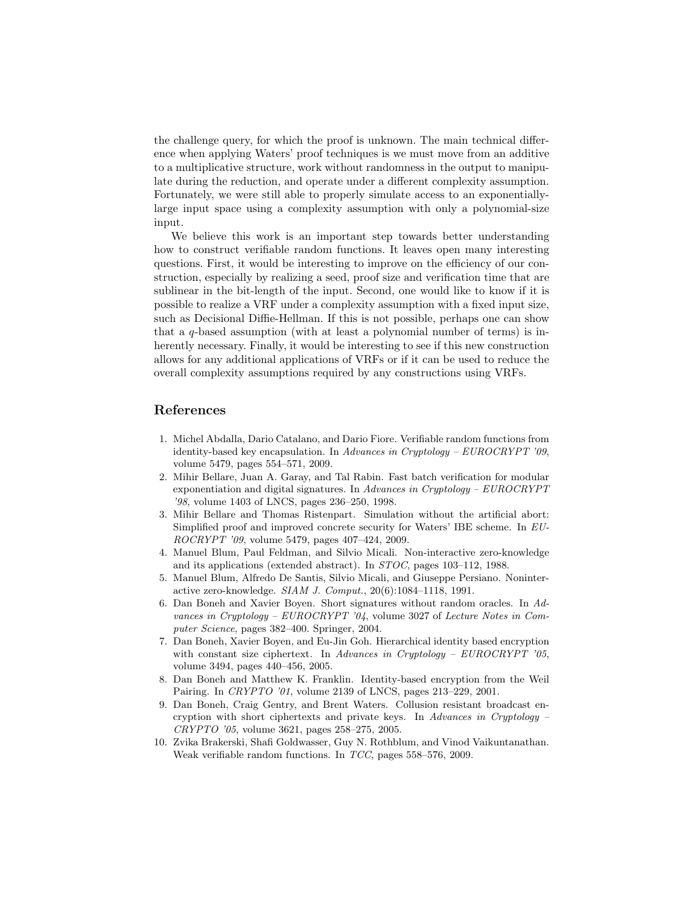the challenge query, for which the proof is unknown. The main technical difference when applying Waters' proof techniques is we must move from an additive to a multiplicative structure, work without randomness in the output to manipulate during the reduction, and operate under a different complexity assumption. Fortunately, we were still able to properly simulate access to an exponentiallylarge input space using a complexity assumption with only a polynomial-size input.

We believe this work is an important step towards better understanding how to construct verifiable random functions. It leaves open many interesting questions. First, it would be interesting to improve on the efficiency of our construction, especially by realizing a seed, proof size and verification time that are sublinear in the bit-length of the input. Second, one would like to know if it is possible to realize a VRF under a complexity assumption with a fixed input size, such as Decisional Diffie-Hellman. If this is not possible, perhaps one can show that a q-based assumption (with at least a polynomial number of terms) is inherently necessary. Finally, it would be interesting to see if this new construction allows for any additional applications of VRFs or if it can be used to reduce the overall complexity assumptions required by any constructions using VRFs.

## References

- 1. Michel Abdalla, Dario Catalano, and Dario Fiore. Verifiable random functions from identity-based key encapsulation. In Advances in Cryptology – EUROCRYPT '09, volume 5479, pages 554–571, 2009.
- 2. Mihir Bellare, Juan A. Garay, and Tal Rabin. Fast batch verification for modular exponentiation and digital signatures. In Advances in Cryptology –  $EUROCRYPT$ '98, volume 1403 of LNCS, pages 236–250, 1998.
- 3. Mihir Bellare and Thomas Ristenpart. Simulation without the artificial abort: Simplified proof and improved concrete security for Waters' IBE scheme. In EU-ROCRYPT '09, volume 5479, pages 407–424, 2009.
- 4. Manuel Blum, Paul Feldman, and Silvio Micali. Non-interactive zero-knowledge and its applications (extended abstract). In STOC, pages 103–112, 1988.
- 5. Manuel Blum, Alfredo De Santis, Silvio Micali, and Giuseppe Persiano. Noninteractive zero-knowledge. SIAM J. Comput., 20(6):1084–1118, 1991.
- 6. Dan Boneh and Xavier Boyen. Short signatures without random oracles. In Advances in Cryptology –  $EUROCRYPT'04$ , volume 3027 of Lecture Notes in Computer Science, pages 382–400. Springer, 2004.
- 7. Dan Boneh, Xavier Boyen, and Eu-Jin Goh. Hierarchical identity based encryption with constant size ciphertext. In Advances in Cryptology –  $EUROCRYPT$  '05, volume 3494, pages 440–456, 2005.
- 8. Dan Boneh and Matthew K. Franklin. Identity-based encryption from the Weil Pairing. In CRYPTO '01, volume 2139 of LNCS, pages 213–229, 2001.
- 9. Dan Boneh, Craig Gentry, and Brent Waters. Collusion resistant broadcast encryption with short ciphertexts and private keys. In Advances in Cryptology – CRYPTO '05, volume 3621, pages 258–275, 2005.
- 10. Zvika Brakerski, Shafi Goldwasser, Guy N. Rothblum, and Vinod Vaikuntanathan. Weak verifiable random functions. In TCC, pages 558–576, 2009.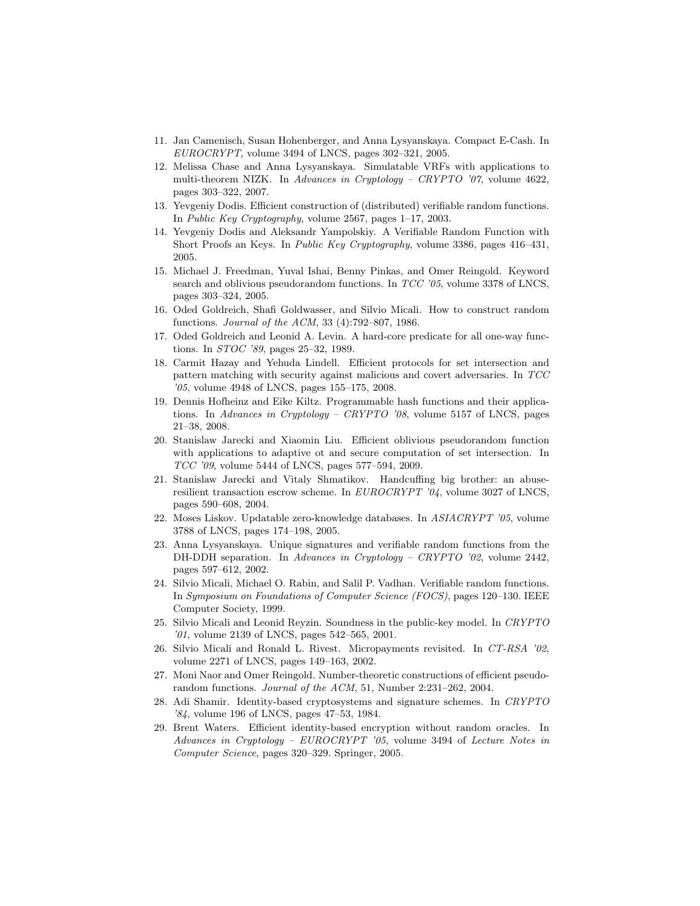- 11. Jan Camenisch, Susan Hohenberger, and Anna Lysyanskaya. Compact E-Cash. In EUROCRYPT, volume 3494 of LNCS, pages 302–321, 2005.
- 12. Melissa Chase and Anna Lysyanskaya. Simulatable VRFs with applications to multi-theorem NIZK. In Advances in Cryptology – CRYPTO '07, volume 4622, pages 303–322, 2007.
- 13. Yevgeniy Dodis. Efficient construction of (distributed) verifiable random functions. In Public Key Cryptography, volume 2567, pages 1–17, 2003.
- 14. Yevgeniy Dodis and Aleksandr Yampolskiy. A Verifiable Random Function with Short Proofs an Keys. In Public Key Cryptography, volume 3386, pages 416–431, 2005.
- 15. Michael J. Freedman, Yuval Ishai, Benny Pinkas, and Omer Reingold. Keyword search and oblivious pseudorandom functions. In  $TCC$  '05, volume 3378 of LNCS, pages 303–324, 2005.
- 16. Oded Goldreich, Shafi Goldwasser, and Silvio Micali. How to construct random functions. Journal of the ACM, 33 (4):792–807, 1986.
- 17. Oded Goldreich and Leonid A. Levin. A hard-core predicate for all one-way functions. In STOC '89, pages 25–32, 1989.
- 18. Carmit Hazay and Yehuda Lindell. Efficient protocols for set intersection and pattern matching with security against malicious and covert adversaries. In TCC '05, volume 4948 of LNCS, pages 155–175, 2008.
- 19. Dennis Hofheinz and Eike Kiltz. Programmable hash functions and their applications. In Advances in Cryptology – CRYPTO '08, volume 5157 of LNCS, pages 21–38, 2008.
- 20. Stanislaw Jarecki and Xiaomin Liu. Efficient oblivious pseudorandom function with applications to adaptive ot and secure computation of set intersection. In TCC '09, volume 5444 of LNCS, pages 577–594, 2009.
- 21. Stanislaw Jarecki and Vitaly Shmatikov. Handcuffing big brother: an abuseresilient transaction escrow scheme. In  $EUROCRYPT' 04$ , volume 3027 of LNCS, pages 590–608, 2004.
- 22. Moses Liskov. Updatable zero-knowledge databases. In ASIACRYPT '05, volume 3788 of LNCS, pages 174–198, 2005.
- 23. Anna Lysyanskaya. Unique signatures and verifiable random functions from the DH-DDH separation. In Advances in Cryptology – CRYPTO '02, volume 2442, pages 597–612, 2002.
- 24. Silvio Micali, Michael O. Rabin, and Salil P. Vadhan. Verifiable random functions. In Symposium on Foundations of Computer Science (FOCS), pages 120–130. IEEE Computer Society, 1999.
- 25. Silvio Micali and Leonid Reyzin. Soundness in the public-key model. In CRYPTO '01, volume 2139 of LNCS, pages 542–565, 2001.
- 26. Silvio Micali and Ronald L. Rivest. Micropayments revisited. In CT-RSA '02, volume 2271 of LNCS, pages 149–163, 2002.
- 27. Moni Naor and Omer Reingold. Number-theoretic constructions of efficient pseudorandom functions. Journal of the ACM, 51, Number 2:231–262, 2004.
- 28. Adi Shamir. Identity-based cryptosystems and signature schemes. In CRYPTO '84, volume 196 of LNCS, pages 47–53, 1984.
- 29. Brent Waters. Efficient identity-based encryption without random oracles. In Advances in Cryptology – EUROCRYPT '05, volume 3494 of Lecture Notes in Computer Science, pages 320–329. Springer, 2005.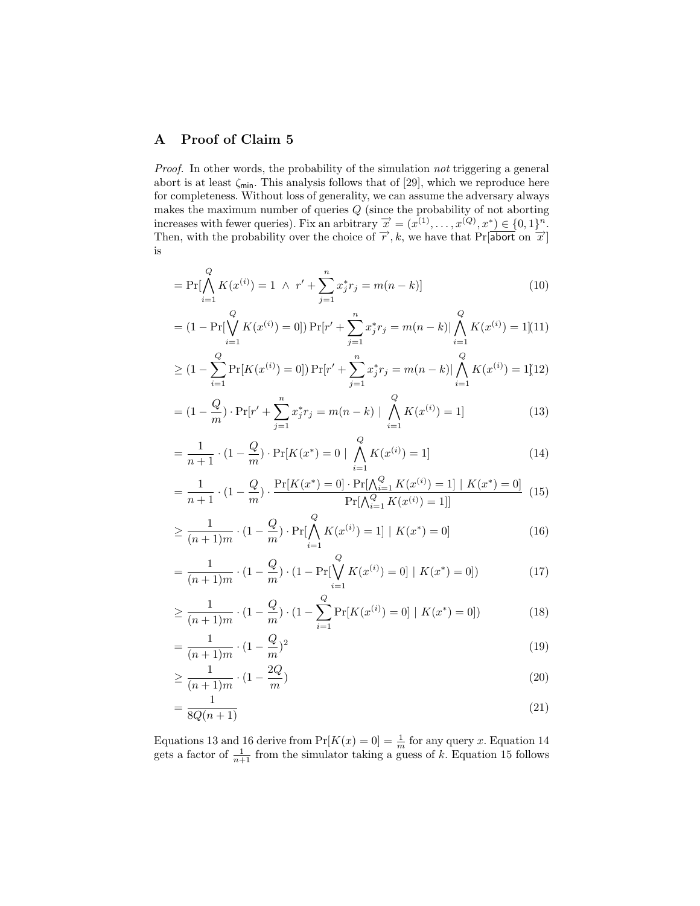# A Proof of Claim 5

Proof. In other words, the probability of the simulation not triggering a general abort is at least  $\zeta_{\min}$ . This analysis follows that of [29], which we reproduce here for completeness. Without loss of generality, we can assume the adversary always makes the maximum number of queries  $Q$  (since the probability of not aborting increases with fewer queries). Fix an arbitrary  $\vec{x} = (x^{(1)}, \ldots, x^{(Q)}, x^*) \in \{0, 1\}^n$ . Then, with the probability over the choice of  $\vec{r}$ , k, we have that Pr[abort on  $\vec{x}$ ] is

$$
= \Pr[\bigwedge_{i=1}^{Q} K(x^{(i)}) = 1 \ \land \ r' + \sum_{j=1}^{n} x_j^* r_j = m(n-k)] \tag{10}
$$

$$
= (1 - \Pr[\bigvee_{i=1}^{Q} K(x^{(i)}) = 0]) \Pr[r' + \sum_{j=1}^{n} x_j^* r_j = m(n-k) | \bigwedge_{i=1}^{Q} K(x^{(i)}) = 1](11)
$$

$$
\geq (1 - \sum_{i=1}^{Q} \Pr[K(x^{(i)}) = 0]) \Pr[r' + \sum_{j=1}^{n} x_j^* r_j = m(n-k) | \bigwedge_{i=1}^{Q} K(x^{(i)}) = 1]
$$
12)

$$
= (1 - \frac{Q}{m}) \cdot \Pr[r' + \sum_{j=1}^{n} x_j^* r_j = m(n - k) \mid \bigwedge_{i=1}^{Q} K(x^{(i)}) = 1]
$$
(13)

$$
= \frac{1}{n+1} \cdot (1 - \frac{Q}{m}) \cdot \Pr[K(x^*) = 0 \mid \bigwedge_{i=1}^{Q} K(x^{(i)}) = 1]
$$
\n(14)

$$
= \frac{1}{n+1} \cdot (1 - \frac{Q}{m}) \cdot \frac{\Pr[K(x^*) = 0] \cdot \Pr[\bigwedge_{i=1}^{Q} K(x^{(i)}) = 1] \mid K(x^*) = 0]}{\Pr[\bigwedge_{i=1}^{Q} K(x^{(i)}) = 1]]} \tag{15}
$$

$$
\geq \frac{1}{(n+1)m} \cdot (1 - \frac{Q}{m}) \cdot \Pr[\bigwedge_{i=1}^{\infty} K(x^{(i)}) = 1] | K(x^*) = 0]
$$
 (16)

$$
= \frac{1}{(n+1)m} \cdot (1 - \frac{Q}{m}) \cdot (1 - \Pr[\bigvee_{i=1}^{Q} K(x^{(i)}) = 0] \mid K(x^*) = 0]) \tag{17}
$$

$$
\geq \frac{1}{(n+1)m} \cdot (1 - \frac{Q}{m}) \cdot (1 - \sum_{i=1}^{Q} \Pr[K(x^{(i)}) = 0] | K(x^*) = 0]) \tag{18}
$$

$$
= \frac{1}{(n+1)m} \cdot (1 - \frac{Q}{m})^2
$$
\n(19)

$$
\geq \frac{1}{(n+1)m} \cdot \left(1 - \frac{2Q}{m}\right) \tag{20}
$$

$$
=\frac{1}{8Q(n+1)}
$$
\n<sup>(21)</sup>

Equations 13 and 16 derive from  $Pr[K(x) = 0] = \frac{1}{m}$  for any query x. Equation 14 gets a factor of  $\frac{1}{n+1}$  from the simulator taking a guess of k. Equation 15 follows